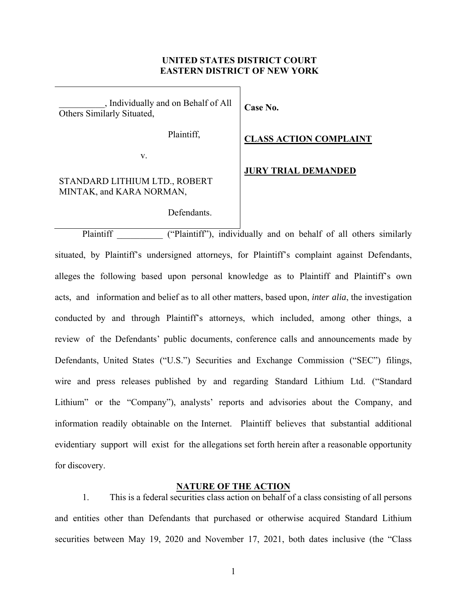## **UNITED STATES DISTRICT COURT EASTERN DISTRICT OF NEW YORK**

**Case No.** 

\_\_\_\_\_\_\_\_\_\_, Individually and on Behalf of All Others Similarly Situated,

Plaintiff,

### **CLASS ACTION COMPLAINT**

v.

# STANDARD LITHIUM LTD., ROBERT MINTAK, and KARA NORMAN,

Defendants.

### **JURY TRIAL DEMANDED**

Plaintiff ("Plaintiff"), individually and on behalf of all others similarly situated, by Plaintiff's undersigned attorneys, for Plaintiff's complaint against Defendants, alleges the following based upon personal knowledge as to Plaintiff and Plaintiff's own acts, and information and belief as to all other matters, based upon, *inter alia*, the investigation conducted by and through Plaintiff's attorneys, which included, among other things, a review of the Defendants' public documents, conference calls and announcements made by Defendants, United States ("U.S.") Securities and Exchange Commission ("SEC") filings, wire and press releases published by and regarding Standard Lithium Ltd. ("Standard Lithium" or the "Company"), analysts' reports and advisories about the Company, and information readily obtainable on the Internet. Plaintiff believes that substantial additional evidentiary support will exist for the allegations set forth herein after a reasonable opportunity for discovery.

### **NATURE OF THE ACTION**

1. This is a federal securities class action on behalf of a class consisting of all persons and entities other than Defendants that purchased or otherwise acquired Standard Lithium securities between May 19, 2020 and November 17, 2021, both dates inclusive (the "Class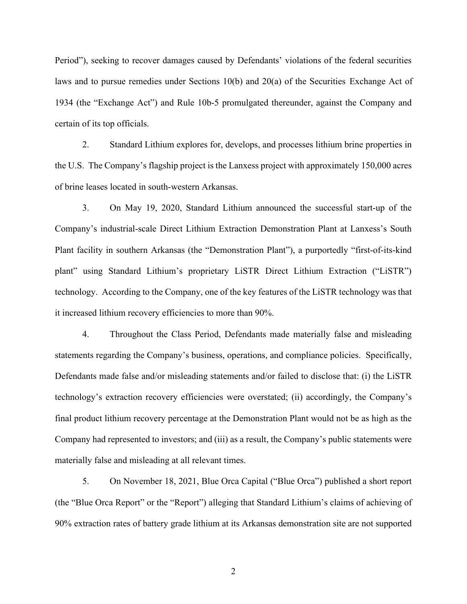Period"), seeking to recover damages caused by Defendants' violations of the federal securities laws and to pursue remedies under Sections 10(b) and 20(a) of the Securities Exchange Act of 1934 (the "Exchange Act") and Rule 10b-5 promulgated thereunder, against the Company and certain of its top officials.

2. Standard Lithium explores for, develops, and processes lithium brine properties in the U.S. The Company's flagship project is the Lanxess project with approximately 150,000 acres of brine leases located in south-western Arkansas.

3. On May 19, 2020, Standard Lithium announced the successful start-up of the Company's industrial-scale Direct Lithium Extraction Demonstration Plant at Lanxess's South Plant facility in southern Arkansas (the "Demonstration Plant"), a purportedly "first-of-its-kind plant" using Standard Lithium's proprietary LiSTR Direct Lithium Extraction ("LiSTR") technology. According to the Company, one of the key features of the LiSTR technology was that it increased lithium recovery efficiencies to more than 90%.

4. Throughout the Class Period, Defendants made materially false and misleading statements regarding the Company's business, operations, and compliance policies. Specifically, Defendants made false and/or misleading statements and/or failed to disclose that: (i) the LiSTR technology's extraction recovery efficiencies were overstated; (ii) accordingly, the Company's final product lithium recovery percentage at the Demonstration Plant would not be as high as the Company had represented to investors; and (iii) as a result, the Company's public statements were materially false and misleading at all relevant times.

5. On November 18, 2021, Blue Orca Capital ("Blue Orca") published a short report (the "Blue Orca Report" or the "Report") alleging that Standard Lithium's claims of achieving of 90% extraction rates of battery grade lithium at its Arkansas demonstration site are not supported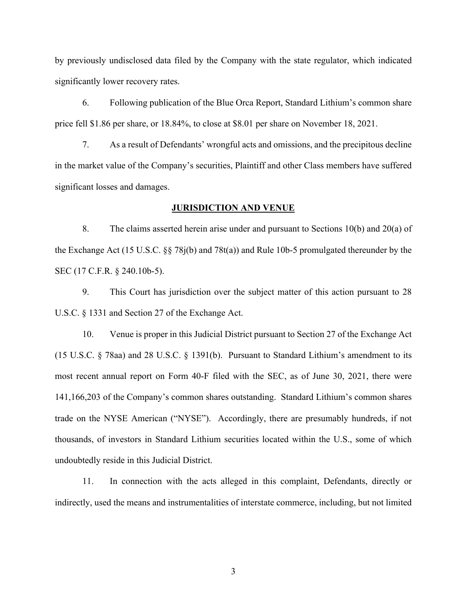by previously undisclosed data filed by the Company with the state regulator, which indicated significantly lower recovery rates.

6. Following publication of the Blue Orca Report, Standard Lithium's common share price fell \$1.86 per share, or 18.84%, to close at \$8.01 per share on November 18, 2021.

7. As a result of Defendants' wrongful acts and omissions, and the precipitous decline in the market value of the Company's securities, Plaintiff and other Class members have suffered significant losses and damages.

## **JURISDICTION AND VENUE**

8. The claims asserted herein arise under and pursuant to Sections 10(b) and 20(a) of the Exchange Act (15 U.S.C. §§ 78j(b) and 78t(a)) and Rule 10b-5 promulgated thereunder by the SEC (17 C.F.R. § 240.10b-5).

9. This Court has jurisdiction over the subject matter of this action pursuant to 28 U.S.C. § 1331 and Section 27 of the Exchange Act.

10. Venue is proper in this Judicial District pursuant to Section 27 of the Exchange Act (15 U.S.C. § 78aa) and 28 U.S.C. § 1391(b). Pursuant to Standard Lithium's amendment to its most recent annual report on Form 40-F filed with the SEC, as of June 30, 2021, there were 141,166,203 of the Company's common shares outstanding. Standard Lithium's common shares trade on the NYSE American ("NYSE"). Accordingly, there are presumably hundreds, if not thousands, of investors in Standard Lithium securities located within the U.S., some of which undoubtedly reside in this Judicial District.

11. In connection with the acts alleged in this complaint, Defendants, directly or indirectly, used the means and instrumentalities of interstate commerce, including, but not limited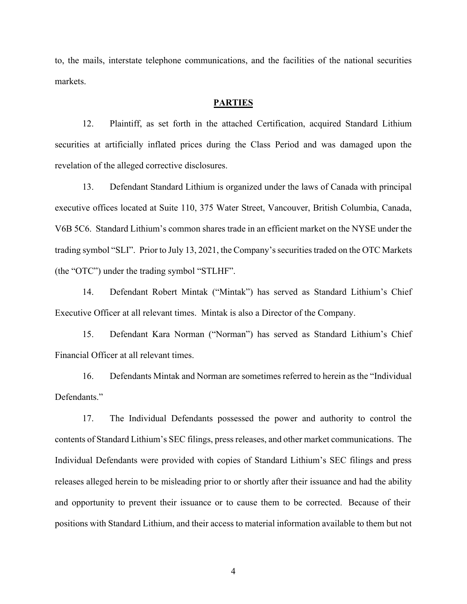to, the mails, interstate telephone communications, and the facilities of the national securities markets.

## **PARTIES**

12. Plaintiff, as set forth in the attached Certification, acquired Standard Lithium securities at artificially inflated prices during the Class Period and was damaged upon the revelation of the alleged corrective disclosures.

13. Defendant Standard Lithium is organized under the laws of Canada with principal executive offices located at Suite 110, 375 Water Street, Vancouver, British Columbia, Canada, V6B 5C6. Standard Lithium's common shares trade in an efficient market on the NYSE under the trading symbol "SLI". Prior to July 13, 2021, the Company's securities traded on the OTC Markets (the "OTC") under the trading symbol "STLHF".

14. Defendant Robert Mintak ("Mintak") has served as Standard Lithium's Chief Executive Officer at all relevant times. Mintak is also a Director of the Company.

15. Defendant Kara Norman ("Norman") has served as Standard Lithium's Chief Financial Officer at all relevant times.

16. Defendants Mintak and Norman are sometimes referred to herein as the "Individual Defendants."

17. The Individual Defendants possessed the power and authority to control the contents of Standard Lithium's SEC filings, press releases, and other market communications. The Individual Defendants were provided with copies of Standard Lithium's SEC filings and press releases alleged herein to be misleading prior to or shortly after their issuance and had the ability and opportunity to prevent their issuance or to cause them to be corrected. Because of their positions with Standard Lithium, and their access to material information available to them but not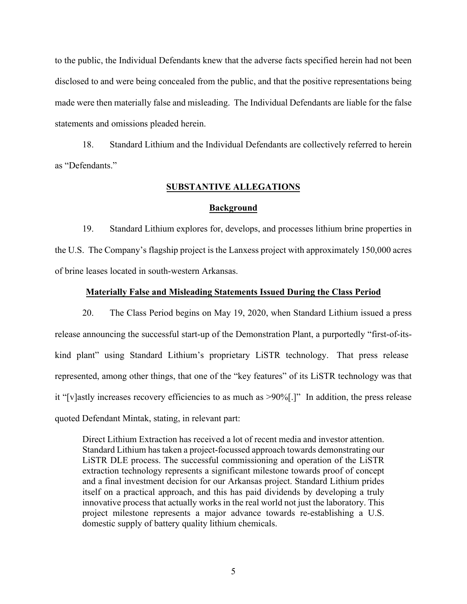to the public, the Individual Defendants knew that the adverse facts specified herein had not been disclosed to and were being concealed from the public, and that the positive representations being made were then materially false and misleading. The Individual Defendants are liable for the false statements and omissions pleaded herein.

18. Standard Lithium and the Individual Defendants are collectively referred to herein as "Defendants."

# **SUBSTANTIVE ALLEGATIONS**

## **Background**

19. Standard Lithium explores for, develops, and processes lithium brine properties in the U.S. The Company's flagship project is the Lanxess project with approximately 150,000 acres of brine leases located in south-western Arkansas.

## **Materially False and Misleading Statements Issued During the Class Period**

20. The Class Period begins on May 19, 2020, when Standard Lithium issued a press release announcing the successful start-up of the Demonstration Plant, a purportedly "first-of-itskind plant" using Standard Lithium's proprietary LiSTR technology. That press release represented, among other things, that one of the "key features" of its LiSTR technology was that it "[v]astly increases recovery efficiencies to as much as >90%[.]" In addition, the press release quoted Defendant Mintak, stating, in relevant part:

Direct Lithium Extraction has received a lot of recent media and investor attention. Standard Lithium has taken a project-focussed approach towards demonstrating our LiSTR DLE process. The successful commissioning and operation of the LiSTR extraction technology represents a significant milestone towards proof of concept and a final investment decision for our Arkansas project. Standard Lithium prides itself on a practical approach, and this has paid dividends by developing a truly innovative process that actually works in the real world not just the laboratory. This project milestone represents a major advance towards re-establishing a U.S. domestic supply of battery quality lithium chemicals.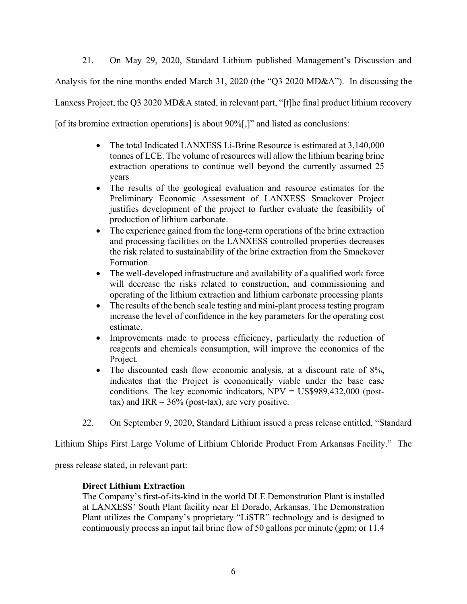21. On May 29, 2020, Standard Lithium published Management's Discussion and Analysis for the nine months ended March 31, 2020 (the "Q3 2020 MD&A"). In discussing the Lanxess Project, the Q3 2020 MD&A stated, in relevant part, "[t]he final product lithium recovery [of its bromine extraction operations] is about  $90\%$ ],]" and listed as conclusions:

- The total Indicated LANXESS Li-Brine Resource is estimated at 3,140,000 tonnes of LCE. The volume of resources will allow the lithium bearing brine extraction operations to continue well beyond the currently assumed 25 years
- The results of the geological evaluation and resource estimates for the Preliminary Economic Assessment of LANXESS Smackover Project justifies development of the project to further evaluate the feasibility of production of lithium carbonate.
- The experience gained from the long-term operations of the brine extraction and processing facilities on the LANXESS controlled properties decreases the risk related to sustainability of the brine extraction from the Smackover Formation.
- The well-developed infrastructure and availability of a qualified work force will decrease the risks related to construction, and commissioning and operating of the lithium extraction and lithium carbonate processing plants
- The results of the bench scale testing and mini-plant process testing program increase the level of confidence in the key parameters for the operating cost estimate.
- Improvements made to process efficiency, particularly the reduction of reagents and chemicals consumption, will improve the economics of the Project.
- The discounted cash flow economic analysis, at a discount rate of 8%, indicates that the Project is economically viable under the base case conditions. The key economic indicators, NPV = US\$989,432,000 (posttax) and IRR =  $36\%$  (post-tax), are very positive.
- 22. On September 9, 2020, Standard Lithium issued a press release entitled, "Standard

Lithium Ships First Large Volume of Lithium Chloride Product From Arkansas Facility." The

press release stated, in relevant part:

# **Direct Lithium Extraction**

The Company's first-of-its-kind in the world DLE Demonstration Plant is installed at LANXESS' South Plant facility near El Dorado, Arkansas. The Demonstration Plant utilizes the Company's proprietary "LiSTR" technology and is designed to continuously process an input tail brine flow of 50 gallons per minute (gpm; or 11.4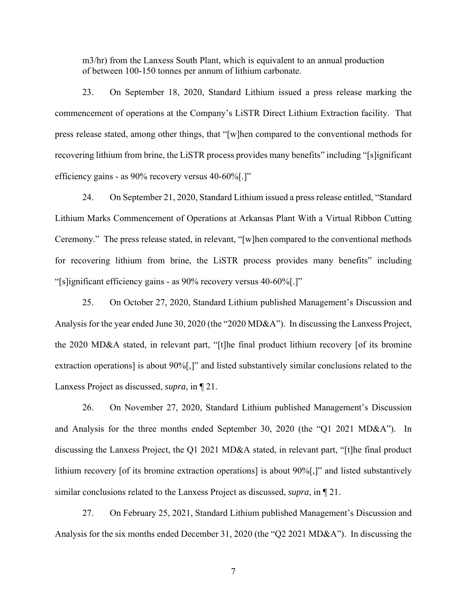m3/hr) from the Lanxess South Plant, which is equivalent to an annual production of between 100-150 tonnes per annum of lithium carbonate.

23. On September 18, 2020, Standard Lithium issued a press release marking the commencement of operations at the Company's LiSTR Direct Lithium Extraction facility. That press release stated, among other things, that "[w]hen compared to the conventional methods for recovering lithium from brine, the LiSTR process provides many benefits" including "[s]ignificant efficiency gains - as 90% recovery versus 40-60%[.]"

24. On September 21, 2020, Standard Lithium issued a press release entitled, "Standard Lithium Marks Commencement of Operations at Arkansas Plant With a Virtual Ribbon Cutting Ceremony." The press release stated, in relevant, "[w]hen compared to the conventional methods for recovering lithium from brine, the LiSTR process provides many benefits" including "[s]ignificant efficiency gains - as 90% recovery versus 40-60%[.]"

25. On October 27, 2020, Standard Lithium published Management's Discussion and Analysis for the year ended June 30, 2020 (the "2020 MD&A"). In discussing the Lanxess Project, the 2020 MD&A stated, in relevant part, "[t]he final product lithium recovery [of its bromine extraction operations] is about 90%[,]" and listed substantively similar conclusions related to the Lanxess Project as discussed, *supra*, in ¶ 21.

26. On November 27, 2020, Standard Lithium published Management's Discussion and Analysis for the three months ended September 30, 2020 (the "Q1 2021 MD&A"). In discussing the Lanxess Project, the Q1 2021 MD&A stated, in relevant part, "[t]he final product lithium recovery [of its bromine extraction operations] is about  $90\%$ ],]" and listed substantively similar conclusions related to the Lanxess Project as discussed, *supra*, in ¶ 21.

27. On February 25, 2021, Standard Lithium published Management's Discussion and Analysis for the six months ended December 31, 2020 (the "Q2 2021 MD&A"). In discussing the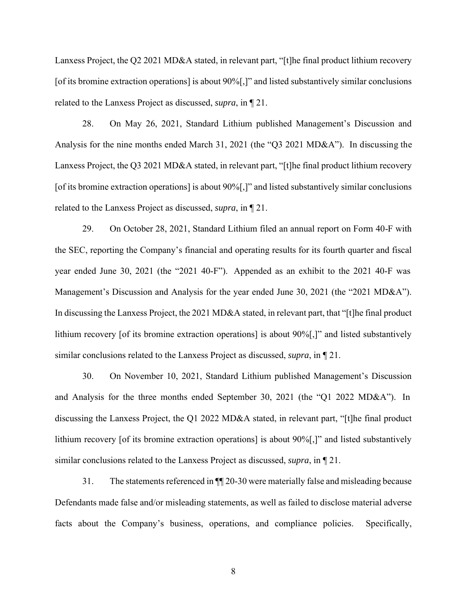Lanxess Project, the Q2 2021 MD&A stated, in relevant part, "[t]he final product lithium recovery [of its bromine extraction operations] is about 90%[,]" and listed substantively similar conclusions related to the Lanxess Project as discussed, *supra*, in ¶ 21.

28. On May 26, 2021, Standard Lithium published Management's Discussion and Analysis for the nine months ended March 31, 2021 (the "Q3 2021 MD&A"). In discussing the Lanxess Project, the Q3 2021 MD&A stated, in relevant part, "[t]he final product lithium recovery [of its bromine extraction operations] is about 90%[,]" and listed substantively similar conclusions related to the Lanxess Project as discussed, *supra*, in ¶ 21.

29. On October 28, 2021, Standard Lithium filed an annual report on Form 40-F with the SEC, reporting the Company's financial and operating results for its fourth quarter and fiscal year ended June 30, 2021 (the "2021 40-F"). Appended as an exhibit to the 2021 40-F was Management's Discussion and Analysis for the year ended June 30, 2021 (the "2021 MD&A"). In discussing the Lanxess Project, the 2021 MD&A stated, in relevant part, that "[t]he final product lithium recovery [of its bromine extraction operations] is about  $90\%$ ,]" and listed substantively similar conclusions related to the Lanxess Project as discussed, *supra*, in ¶ 21.

30. On November 10, 2021, Standard Lithium published Management's Discussion and Analysis for the three months ended September 30, 2021 (the "Q1 2022 MD&A"). In discussing the Lanxess Project, the Q1 2022 MD&A stated, in relevant part, "[t]he final product lithium recovery [of its bromine extraction operations] is about 90%[,]" and listed substantively similar conclusions related to the Lanxess Project as discussed, *supra*, in ¶ 21.

31. The statements referenced in ¶¶ 20-30 were materially false and misleading because Defendants made false and/or misleading statements, as well as failed to disclose material adverse facts about the Company's business, operations, and compliance policies. Specifically,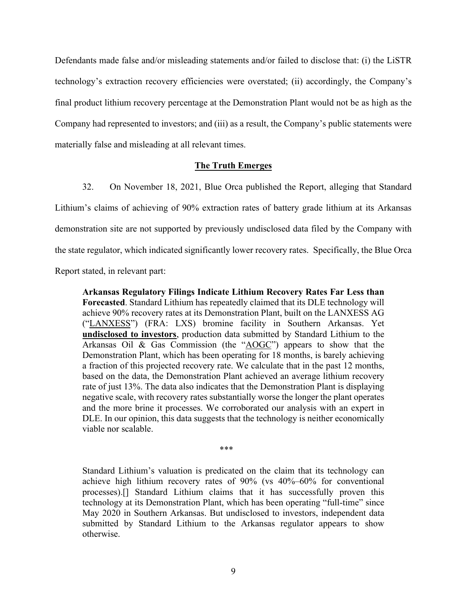Defendants made false and/or misleading statements and/or failed to disclose that: (i) the LiSTR technology's extraction recovery efficiencies were overstated; (ii) accordingly, the Company's final product lithium recovery percentage at the Demonstration Plant would not be as high as the Company had represented to investors; and (iii) as a result, the Company's public statements were materially false and misleading at all relevant times.

## **The Truth Emerges**

32. On November 18, 2021, Blue Orca published the Report, alleging that Standard Lithium's claims of achieving of 90% extraction rates of battery grade lithium at its Arkansas demonstration site are not supported by previously undisclosed data filed by the Company with the state regulator, which indicated significantly lower recovery rates. Specifically, the Blue Orca Report stated, in relevant part:

**Arkansas Regulatory Filings Indicate Lithium Recovery Rates Far Less than Forecasted**. Standard Lithium has repeatedly claimed that its DLE technology will achieve 90% recovery rates at its Demonstration Plant, built on the LANXESS AG ("LANXESS") (FRA: LXS) bromine facility in Southern Arkansas. Yet **undisclosed to investors**, production data submitted by Standard Lithium to the Arkansas Oil & Gas Commission (the "AOGC") appears to show that the Demonstration Plant, which has been operating for 18 months, is barely achieving a fraction of this projected recovery rate. We calculate that in the past 12 months, based on the data, the Demonstration Plant achieved an average lithium recovery rate of just 13%. The data also indicates that the Demonstration Plant is displaying negative scale, with recovery rates substantially worse the longer the plant operates and the more brine it processes. We corroborated our analysis with an expert in DLE. In our opinion, this data suggests that the technology is neither economically viable nor scalable.

\*\*\*

Standard Lithium's valuation is predicated on the claim that its technology can achieve high lithium recovery rates of 90% (vs 40%–60% for conventional processes).[] Standard Lithium claims that it has successfully proven this technology at its Demonstration Plant, which has been operating "full-time" since May 2020 in Southern Arkansas. But undisclosed to investors, independent data submitted by Standard Lithium to the Arkansas regulator appears to show otherwise.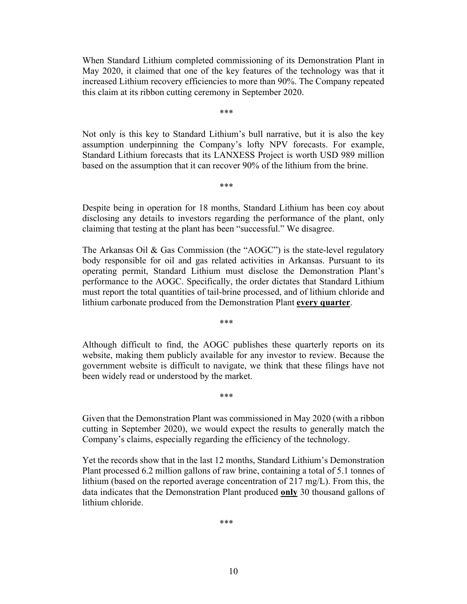When Standard Lithium completed commissioning of its Demonstration Plant in May 2020, it claimed that one of the key features of the technology was that it increased Lithium recovery efficiencies to more than 90%. The Company repeated this claim at its ribbon cutting ceremony in September 2020.

\*\*\*

Not only is this key to Standard Lithium's bull narrative, but it is also the key assumption underpinning the Company's lofty NPV forecasts. For example, Standard Lithium forecasts that its LANXESS Project is worth USD 989 million based on the assumption that it can recover 90% of the lithium from the brine.

\*\*\*

Despite being in operation for 18 months, Standard Lithium has been coy about disclosing any details to investors regarding the performance of the plant, only claiming that testing at the plant has been "successful." We disagree.

The Arkansas Oil & Gas Commission (the "AOGC") is the state-level regulatory body responsible for oil and gas related activities in Arkansas. Pursuant to its operating permit, Standard Lithium must disclose the Demonstration Plant's performance to the AOGC. Specifically, the order dictates that Standard Lithium must report the total quantities of tail-brine processed, and of lithium chloride and lithium carbonate produced from the Demonstration Plant **every quarter**.

Although difficult to find, the AOGC publishes these quarterly reports on its website, making them publicly available for any investor to review. Because the government website is difficult to navigate, we think that these filings have not been widely read or understood by the market.

\*\*\*

\*\*\*

Given that the Demonstration Plant was commissioned in May 2020 (with a ribbon cutting in September 2020), we would expect the results to generally match the Company's claims, especially regarding the efficiency of the technology.

Yet the records show that in the last 12 months, Standard Lithium's Demonstration Plant processed 6.2 million gallons of raw brine, containing a total of 5.1 tonnes of lithium (based on the reported average concentration of 217 mg/L). From this, the data indicates that the Demonstration Plant produced **only** 30 thousand gallons of lithium chloride.

\*\*\*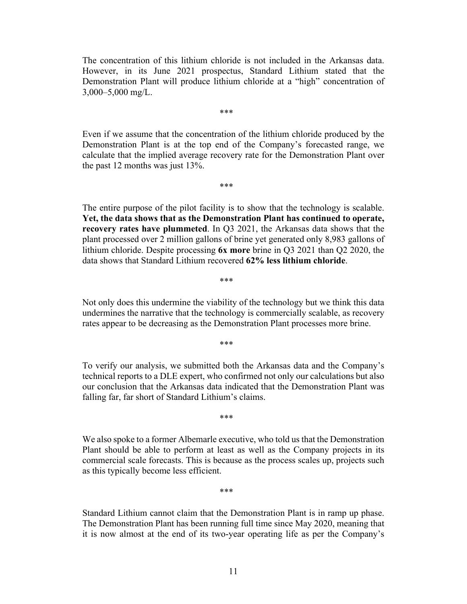The concentration of this lithium chloride is not included in the Arkansas data. However, in its June 2021 prospectus, Standard Lithium stated that the Demonstration Plant will produce lithium chloride at a "high" concentration of 3,000–5,000 mg/L.

\*\*\*

Even if we assume that the concentration of the lithium chloride produced by the Demonstration Plant is at the top end of the Company's forecasted range, we calculate that the implied average recovery rate for the Demonstration Plant over the past 12 months was just 13%.

\*\*\*

The entire purpose of the pilot facility is to show that the technology is scalable. **Yet, the data shows that as the Demonstration Plant has continued to operate, recovery rates have plummeted**. In Q3 2021, the Arkansas data shows that the plant processed over 2 million gallons of brine yet generated only 8,983 gallons of lithium chloride. Despite processing **6x more** brine in Q3 2021 than Q2 2020, the data shows that Standard Lithium recovered **62% less lithium chloride**.

\*\*\*

Not only does this undermine the viability of the technology but we think this data undermines the narrative that the technology is commercially scalable, as recovery rates appear to be decreasing as the Demonstration Plant processes more brine.

\*\*\*

To verify our analysis, we submitted both the Arkansas data and the Company's technical reports to a DLE expert, who confirmed not only our calculations but also our conclusion that the Arkansas data indicated that the Demonstration Plant was falling far, far short of Standard Lithium's claims.

\*\*\*

We also spoke to a former Albemarle executive, who told us that the Demonstration Plant should be able to perform at least as well as the Company projects in its commercial scale forecasts. This is because as the process scales up, projects such as this typically become less efficient.

\*\*\*

Standard Lithium cannot claim that the Demonstration Plant is in ramp up phase. The Demonstration Plant has been running full time since May 2020, meaning that it is now almost at the end of its two-year operating life as per the Company's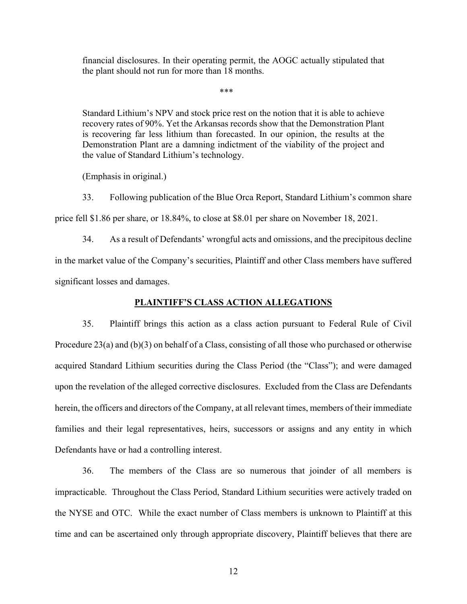financial disclosures. In their operating permit, the AOGC actually stipulated that the plant should not run for more than 18 months.

\*\*\*

Standard Lithium's NPV and stock price rest on the notion that it is able to achieve recovery rates of 90%. Yet the Arkansas records show that the Demonstration Plant is recovering far less lithium than forecasted. In our opinion, the results at the Demonstration Plant are a damning indictment of the viability of the project and the value of Standard Lithium's technology.

(Emphasis in original.)

33. Following publication of the Blue Orca Report, Standard Lithium's common share

price fell \$1.86 per share, or 18.84%, to close at \$8.01 per share on November 18, 2021.

34. As a result of Defendants' wrongful acts and omissions, and the precipitous decline in the market value of the Company's securities, Plaintiff and other Class members have suffered significant losses and damages.

## **PLAINTIFF'S CLASS ACTION ALLEGATIONS**

35. Plaintiff brings this action as a class action pursuant to Federal Rule of Civil Procedure 23(a) and (b)(3) on behalf of a Class, consisting of all those who purchased or otherwise acquired Standard Lithium securities during the Class Period (the "Class"); and were damaged upon the revelation of the alleged corrective disclosures. Excluded from the Class are Defendants herein, the officers and directors of the Company, at all relevant times, members of their immediate families and their legal representatives, heirs, successors or assigns and any entity in which Defendants have or had a controlling interest.

36. The members of the Class are so numerous that joinder of all members is impracticable. Throughout the Class Period, Standard Lithium securities were actively traded on the NYSE and OTC. While the exact number of Class members is unknown to Plaintiff at this time and can be ascertained only through appropriate discovery, Plaintiff believes that there are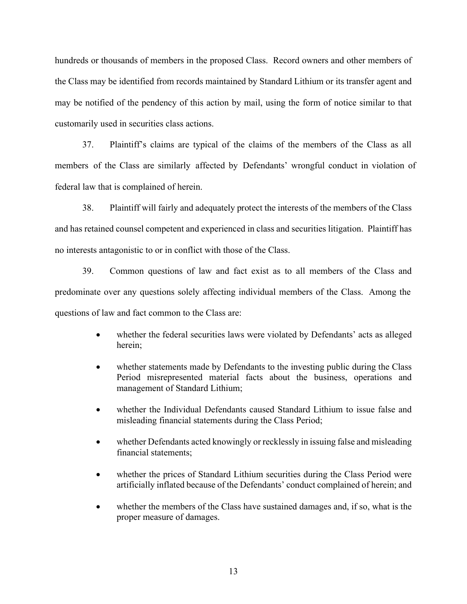hundreds or thousands of members in the proposed Class. Record owners and other members of the Class may be identified from records maintained by Standard Lithium or its transfer agent and may be notified of the pendency of this action by mail, using the form of notice similar to that customarily used in securities class actions.

37. Plaintiff's claims are typical of the claims of the members of the Class as all members of the Class are similarly affected by Defendants' wrongful conduct in violation of federal law that is complained of herein.

38. Plaintiff will fairly and adequately protect the interests of the members of the Class and has retained counsel competent and experienced in class and securities litigation. Plaintiff has no interests antagonistic to or in conflict with those of the Class.

39. Common questions of law and fact exist as to all members of the Class and predominate over any questions solely affecting individual members of the Class. Among the questions of law and fact common to the Class are:

- whether the federal securities laws were violated by Defendants' acts as alleged herein;
- whether statements made by Defendants to the investing public during the Class Period misrepresented material facts about the business, operations and management of Standard Lithium;
- whether the Individual Defendants caused Standard Lithium to issue false and misleading financial statements during the Class Period;
- whether Defendants acted knowingly or recklessly in issuing false and misleading financial statements;
- whether the prices of Standard Lithium securities during the Class Period were artificially inflated because of the Defendants' conduct complained of herein; and
- whether the members of the Class have sustained damages and, if so, what is the proper measure of damages.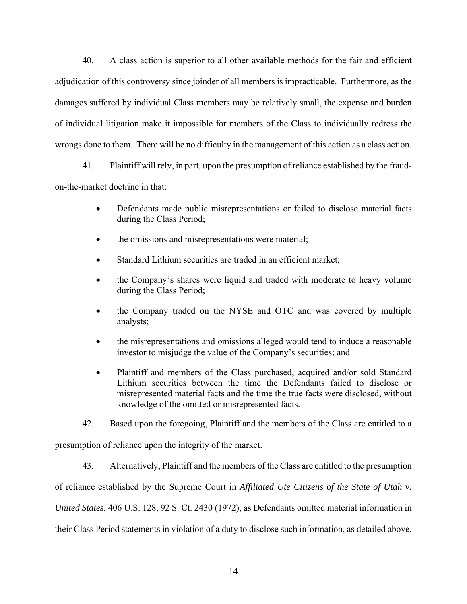40. A class action is superior to all other available methods for the fair and efficient adjudication of this controversy since joinder of all members is impracticable. Furthermore, as the damages suffered by individual Class members may be relatively small, the expense and burden of individual litigation make it impossible for members of the Class to individually redress the wrongs done to them. There will be no difficulty in the management of this action as a class action.

41. Plaintiff will rely, in part, upon the presumption of reliance established by the fraudon-the-market doctrine in that:

- Defendants made public misrepresentations or failed to disclose material facts during the Class Period;
- the omissions and misrepresentations were material;
- Standard Lithium securities are traded in an efficient market;
- the Company's shares were liquid and traded with moderate to heavy volume during the Class Period;
- the Company traded on the NYSE and OTC and was covered by multiple analysts;
- the misrepresentations and omissions alleged would tend to induce a reasonable investor to misjudge the value of the Company's securities; and
- Plaintiff and members of the Class purchased, acquired and/or sold Standard Lithium securities between the time the Defendants failed to disclose or misrepresented material facts and the time the true facts were disclosed, without knowledge of the omitted or misrepresented facts.
- 42. Based upon the foregoing, Plaintiff and the members of the Class are entitled to a

presumption of reliance upon the integrity of the market.

43. Alternatively, Plaintiff and the members of the Class are entitled to the presumption

of reliance established by the Supreme Court in *Affiliated Ute Citizens of the State of Utah v.* 

*United States*, 406 U.S. 128, 92 S. Ct. 2430 (1972), as Defendants omitted material information in

their Class Period statements in violation of a duty to disclose such information, as detailed above.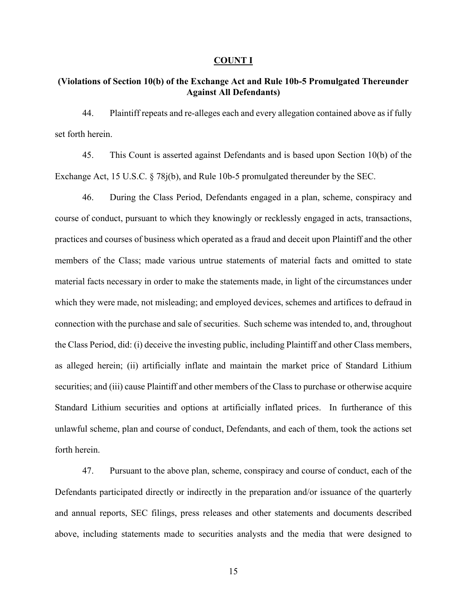#### **COUNT I**

# **(Violations of Section 10(b) of the Exchange Act and Rule 10b-5 Promulgated Thereunder Against All Defendants)**

44. Plaintiff repeats and re-alleges each and every allegation contained above as if fully set forth herein.

45. This Count is asserted against Defendants and is based upon Section 10(b) of the Exchange Act, 15 U.S.C. § 78j(b), and Rule 10b-5 promulgated thereunder by the SEC.

46. During the Class Period, Defendants engaged in a plan, scheme, conspiracy and course of conduct, pursuant to which they knowingly or recklessly engaged in acts, transactions, practices and courses of business which operated as a fraud and deceit upon Plaintiff and the other members of the Class; made various untrue statements of material facts and omitted to state material facts necessary in order to make the statements made, in light of the circumstances under which they were made, not misleading; and employed devices, schemes and artifices to defraud in connection with the purchase and sale of securities. Such scheme was intended to, and, throughout the Class Period, did: (i) deceive the investing public, including Plaintiff and other Class members, as alleged herein; (ii) artificially inflate and maintain the market price of Standard Lithium securities; and (iii) cause Plaintiff and other members of the Class to purchase or otherwise acquire Standard Lithium securities and options at artificially inflated prices. In furtherance of this unlawful scheme, plan and course of conduct, Defendants, and each of them, took the actions set forth herein.

47. Pursuant to the above plan, scheme, conspiracy and course of conduct, each of the Defendants participated directly or indirectly in the preparation and/or issuance of the quarterly and annual reports, SEC filings, press releases and other statements and documents described above, including statements made to securities analysts and the media that were designed to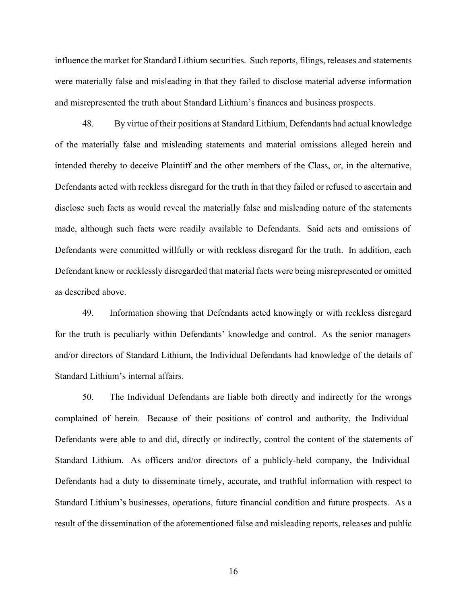influence the market for Standard Lithium securities. Such reports, filings, releases and statements were materially false and misleading in that they failed to disclose material adverse information and misrepresented the truth about Standard Lithium's finances and business prospects.

48. By virtue of their positions at Standard Lithium, Defendants had actual knowledge of the materially false and misleading statements and material omissions alleged herein and intended thereby to deceive Plaintiff and the other members of the Class, or, in the alternative, Defendants acted with reckless disregard for the truth in that they failed or refused to ascertain and disclose such facts as would reveal the materially false and misleading nature of the statements made, although such facts were readily available to Defendants. Said acts and omissions of Defendants were committed willfully or with reckless disregard for the truth. In addition, each Defendant knew or recklessly disregarded that material facts were being misrepresented or omitted as described above.

49. Information showing that Defendants acted knowingly or with reckless disregard for the truth is peculiarly within Defendants' knowledge and control. As the senior managers and/or directors of Standard Lithium, the Individual Defendants had knowledge of the details of Standard Lithium's internal affairs.

50. The Individual Defendants are liable both directly and indirectly for the wrongs complained of herein. Because of their positions of control and authority, the Individual Defendants were able to and did, directly or indirectly, control the content of the statements of Standard Lithium. As officers and/or directors of a publicly-held company, the Individual Defendants had a duty to disseminate timely, accurate, and truthful information with respect to Standard Lithium's businesses, operations, future financial condition and future prospects. As a result of the dissemination of the aforementioned false and misleading reports, releases and public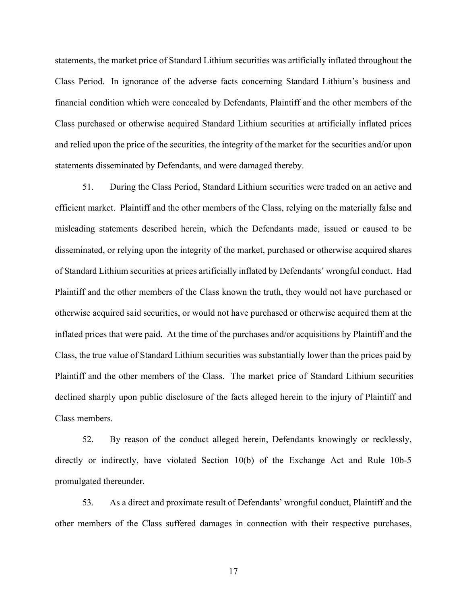statements, the market price of Standard Lithium securities was artificially inflated throughout the Class Period. In ignorance of the adverse facts concerning Standard Lithium's business and financial condition which were concealed by Defendants, Plaintiff and the other members of the Class purchased or otherwise acquired Standard Lithium securities at artificially inflated prices and relied upon the price of the securities, the integrity of the market for the securities and/or upon statements disseminated by Defendants, and were damaged thereby.

51. During the Class Period, Standard Lithium securities were traded on an active and efficient market. Plaintiff and the other members of the Class, relying on the materially false and misleading statements described herein, which the Defendants made, issued or caused to be disseminated, or relying upon the integrity of the market, purchased or otherwise acquired shares of Standard Lithium securities at prices artificially inflated by Defendants' wrongful conduct. Had Plaintiff and the other members of the Class known the truth, they would not have purchased or otherwise acquired said securities, or would not have purchased or otherwise acquired them at the inflated prices that were paid. At the time of the purchases and/or acquisitions by Plaintiff and the Class, the true value of Standard Lithium securities was substantially lower than the prices paid by Plaintiff and the other members of the Class. The market price of Standard Lithium securities declined sharply upon public disclosure of the facts alleged herein to the injury of Plaintiff and Class members.

52. By reason of the conduct alleged herein, Defendants knowingly or recklessly, directly or indirectly, have violated Section 10(b) of the Exchange Act and Rule 10b-5 promulgated thereunder.

53. As a direct and proximate result of Defendants' wrongful conduct, Plaintiff and the other members of the Class suffered damages in connection with their respective purchases,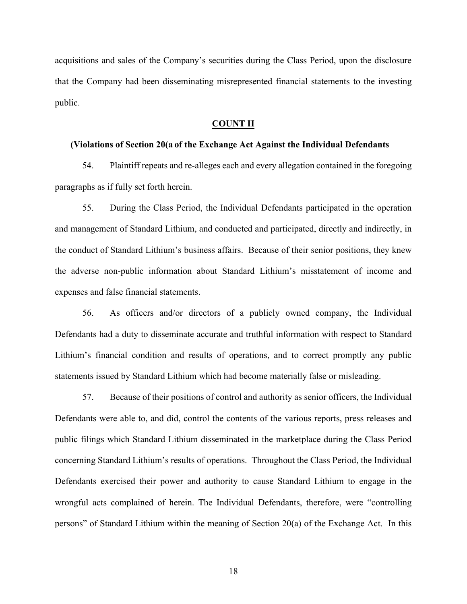acquisitions and sales of the Company's securities during the Class Period, upon the disclosure that the Company had been disseminating misrepresented financial statements to the investing public.

### **COUNT II**

### **(Violations of Section 20(a of the Exchange Act Against the Individual Defendants**

54. Plaintiff repeats and re-alleges each and every allegation contained in the foregoing paragraphs as if fully set forth herein.

55. During the Class Period, the Individual Defendants participated in the operation and management of Standard Lithium, and conducted and participated, directly and indirectly, in the conduct of Standard Lithium's business affairs. Because of their senior positions, they knew the adverse non-public information about Standard Lithium's misstatement of income and expenses and false financial statements.

56. As officers and/or directors of a publicly owned company, the Individual Defendants had a duty to disseminate accurate and truthful information with respect to Standard Lithium's financial condition and results of operations, and to correct promptly any public statements issued by Standard Lithium which had become materially false or misleading.

57. Because of their positions of control and authority as senior officers, the Individual Defendants were able to, and did, control the contents of the various reports, press releases and public filings which Standard Lithium disseminated in the marketplace during the Class Period concerning Standard Lithium's results of operations. Throughout the Class Period, the Individual Defendants exercised their power and authority to cause Standard Lithium to engage in the wrongful acts complained of herein. The Individual Defendants, therefore, were "controlling persons" of Standard Lithium within the meaning of Section 20(a) of the Exchange Act. In this